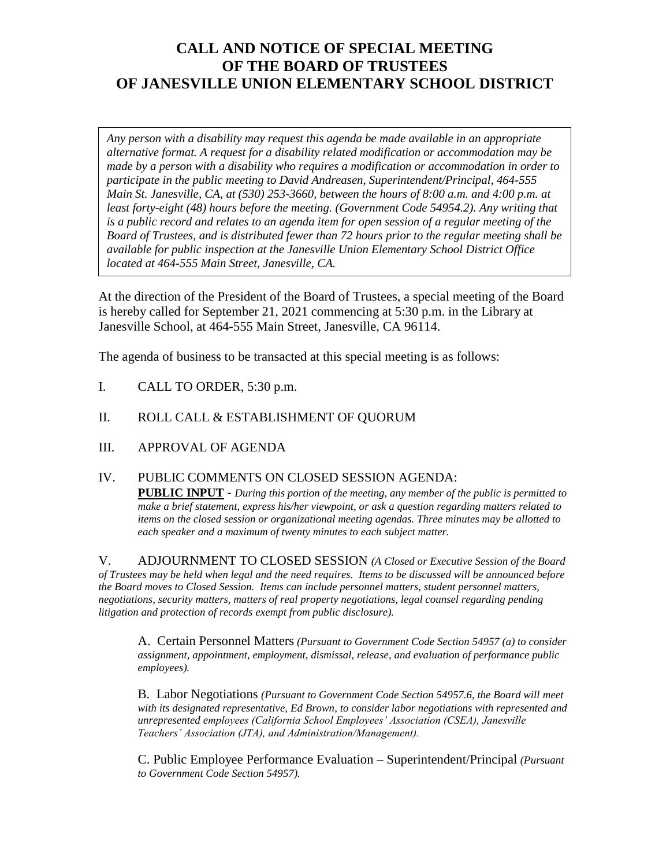## **CALL AND NOTICE OF SPECIAL MEETING OF THE BOARD OF TRUSTEES OF JANESVILLE UNION ELEMENTARY SCHOOL DISTRICT**

*Any person with a disability may request this agenda be made available in an appropriate alternative format. A request for a disability related modification or accommodation may be made by a person with a disability who requires a modification or accommodation in order to participate in the public meeting to David Andreasen, Superintendent/Principal, 464-555 Main St. Janesville, CA, at (530) 253-3660, between the hours of 8:00 a.m. and 4:00 p.m. at least forty-eight (48) hours before the meeting. (Government Code 54954.2). Any writing that is a public record and relates to an agenda item for open session of a regular meeting of the Board of Trustees, and is distributed fewer than 72 hours prior to the regular meeting shall be available for public inspection at the Janesville Union Elementary School District Office located at 464-555 Main Street, Janesville, CA.* 

At the direction of the President of the Board of Trustees, a special meeting of the Board is hereby called for September 21, 2021 commencing at 5:30 p.m. in the Library at Janesville School, at 464-555 Main Street, Janesville, CA 96114.

The agenda of business to be transacted at this special meeting is as follows:

- I. CALL TO ORDER, 5:30 p.m.
- II. ROLL CALL & ESTABLISHMENT OF QUORUM
- III. APPROVAL OF AGENDA

## IV. PUBLIC COMMENTS ON CLOSED SESSION AGENDA: **PUBLIC INPUT** - *During this portion of the meeting, any member of the public is permitted to*

*make a brief statement, express his/her viewpoint, or ask a question regarding matters related to items on the closed session or organizational meeting agendas. Three minutes may be allotted to each speaker and a maximum of twenty minutes to each subject matter.*

V. ADJOURNMENT TO CLOSED SESSION *(A Closed or Executive Session of the Board of Trustees may be held when legal and the need requires. Items to be discussed will be announced before the Board moves to Closed Session. Items can include personnel matters, student personnel matters, negotiations, security matters, matters of real property negotiations, legal counsel regarding pending litigation and protection of records exempt from public disclosure).*

A. Certain Personnel Matters *(Pursuant to Government Code Section 54957 (a) to consider assignment, appointment, employment, dismissal, release, and evaluation of performance public employees).*

B. Labor Negotiations *(Pursuant to Government Code Section 54957.6, the Board will meet with its designated representative, Ed Brown, to consider labor negotiations with represented and unrepresented employees (California School Employees' Association (CSEA), Janesville Teachers' Association (JTA), and Administration/Management).*

C. Public Employee Performance Evaluation – Superintendent/Principal *(Pursuant to Government Code Section 54957).*